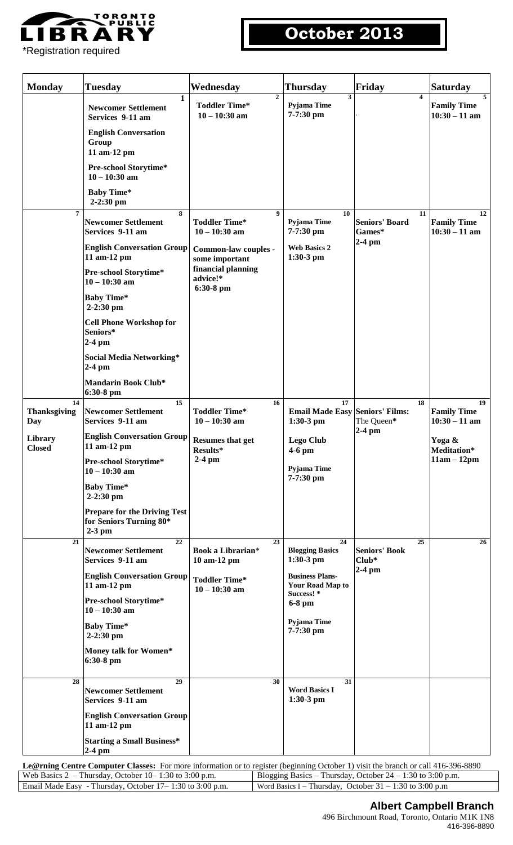

## \*Registration required

# **October 2013**

| <b>Monday</b>                    | <b>Tuesday</b>                                                             | Wednesday                                                                             | <b>Thursday</b>                                                 | Friday                                | <b>Saturday</b>                             |
|----------------------------------|----------------------------------------------------------------------------|---------------------------------------------------------------------------------------|-----------------------------------------------------------------|---------------------------------------|---------------------------------------------|
|                                  | $\overline{1}$<br><b>Newcomer Settlement</b><br>Services 9-11 am           | $\overline{2}$<br><b>Toddler Time*</b><br>$10 - 10:30$ am                             | 3<br>Pyjama Time<br>7-7:30 pm                                   | $\overline{\mathbf{4}}$               | 5<br><b>Family Time</b><br>$10:30 - 11$ am  |
|                                  | <b>English Conversation</b><br>Group<br>11 am-12 pm                        |                                                                                       |                                                                 |                                       |                                             |
|                                  | Pre-school Storytime*<br>$10 - 10:30$ am                                   |                                                                                       |                                                                 |                                       |                                             |
|                                  | <b>Baby Time*</b><br>$2 - 2:30$ pm                                         |                                                                                       |                                                                 |                                       |                                             |
| $\overline{7}$                   | 8<br><b>Newcomer Settlement</b><br>Services 9-11 am                        | 9<br><b>Toddler Time*</b><br>$10 - 10:30$ am                                          | 10<br>Pyjama Time<br>7-7:30 pm                                  | 11<br><b>Seniors' Board</b><br>Games* | 12<br><b>Family Time</b><br>$10:30 - 11$ am |
|                                  | <b>English Conversation Group</b><br>11 am-12 pm                           | Common-law couples -<br>some important<br>financial planning<br>advice!*<br>6:30-8 pm | <b>Web Basics 2</b><br>$1:30-3$ pm                              | $2-4$ pm                              |                                             |
|                                  | Pre-school Storytime*<br>$10 - 10:30$ am                                   |                                                                                       |                                                                 |                                       |                                             |
|                                  | <b>Baby Time*</b><br>$2-2:30$ pm                                           |                                                                                       |                                                                 |                                       |                                             |
|                                  | <b>Cell Phone Workshop for</b><br>Seniors*<br>$2-4$ pm                     |                                                                                       |                                                                 |                                       |                                             |
|                                  | Social Media Networking*<br>$2-4$ pm                                       |                                                                                       |                                                                 |                                       |                                             |
|                                  | <b>Mandarin Book Club*</b><br>$6:30-8$ pm                                  |                                                                                       |                                                                 |                                       |                                             |
| 14<br><b>Thanksgiving</b><br>Day | 15<br><b>Newcomer Settlement</b><br>Services 9-11 am                       | 16<br><b>Toddler Time*</b><br>$10 - 10:30$ am                                         | 17<br><b>Email Made Easy Seniors' Films:</b><br>$1:30-3$ pm     | 18<br>The Queen*                      | 19<br><b>Family Time</b><br>$10:30 - 11$ am |
| Library<br><b>Closed</b>         | <b>English Conversation Group</b><br>11 am-12 pm                           | <b>Resumes that get</b><br>Results*                                                   | Lego Club<br>$4-6$ pm                                           | $2-4$ pm                              | Yoga &<br>Meditation*                       |
|                                  | Pre-school Storytime*<br>$10 - 10:30$ am                                   | $2-4$ pm                                                                              | Pyjama Time<br>7-7:30 pm                                        |                                       | $11am - 12pm$                               |
|                                  | <b>Baby Time*</b><br>$2-2:30$ pm                                           |                                                                                       |                                                                 |                                       |                                             |
| 21                               | <b>Prepare for the Driving Test</b><br>for Seniors Turning 80*<br>$2-3$ pm |                                                                                       |                                                                 |                                       |                                             |
|                                  | 22<br><b>Newcomer Settlement</b><br>Services 9-11 am                       | 23<br>Book a Librarian*<br>10 am-12 pm                                                | 24<br><b>Blogging Basics</b><br>$1:30-3$ pm                     | 25<br><b>Seniors' Book</b><br>$Club*$ | 26                                          |
|                                  | <b>English Conversation Group</b><br>11 am-12 pm                           | <b>Toddler Time*</b><br>$10 - 10:30$ am                                               | <b>Business Plans-</b><br><b>Your Road Map to</b><br>Success! * | $2-4$ pm                              |                                             |
|                                  | Pre-school Storytime*<br>$10 - 10:30$ am                                   |                                                                                       | 6-8 pm                                                          |                                       |                                             |
|                                  | <b>Baby Time*</b><br>$2-2:30$ pm                                           |                                                                                       | Pyjama Time<br>7-7:30 pm                                        |                                       |                                             |
|                                  | Money talk for Women*<br>$6:30-8$ pm                                       |                                                                                       |                                                                 |                                       |                                             |
| 28                               | 29<br><b>Newcomer Settlement</b><br>Services 9-11 am                       | 30                                                                                    | 31<br><b>Word Basics I</b><br>$1:30-3$ pm                       |                                       |                                             |
|                                  | <b>English Conversation Group</b><br>11 am-12 pm                           |                                                                                       |                                                                 |                                       |                                             |
|                                  | <b>Starting a Small Business*</b><br>$2-4$ pm                              |                                                                                       |                                                                 |                                       |                                             |

**Le@rning Centre Computer Classes:** For more information or to register (beginning October 1) visit the branch or call 416-396-8890 Web Basics 2 – Thursday, October 10– 1:30 to 3:00 p.m. Blogging Basics – Thursday, October 24 – 1:30 to 3:00 p.m. Email Made Easy - Thursday, October 17 – 1:30 to 3:00 p.m. Word Basics I – Thursday, October 31 – 1:30 to 3:00 p.m